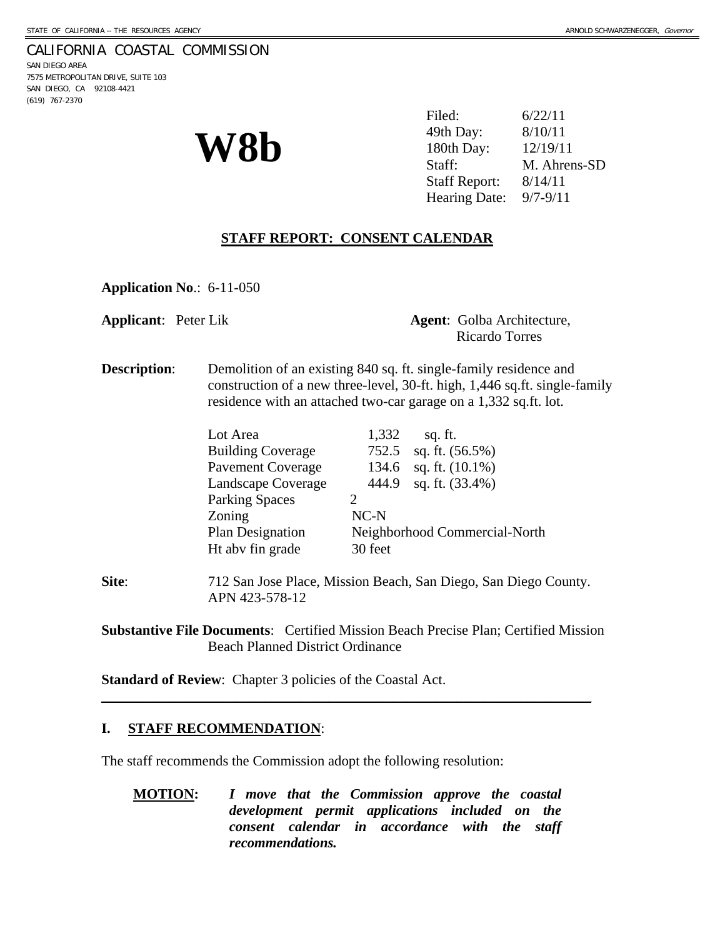### CALIFORNIA COASTAL COMMISSION

SAN DIEGO AREA 7575 METROPOLITAN DRIVE, SUITE 103 SAN DIEGO, CA 92108-4421 (619) 767-2370

| W8b | Filed:                   | 6/22/11      |
|-----|--------------------------|--------------|
|     | 49th Day:                | 8/10/11      |
|     | 180th Day:               | 12/19/11     |
|     | Staff:                   | M. Ahrens-SD |
|     | <b>Staff Report:</b>     | 8/14/11      |
|     | Hearing Date: $9/7-9/11$ |              |

# **STAFF REPORT: CONSENT CALENDAR**

**Application No**.: 6-11-050

**Applicant**: Peter Lik **Agent**: Golba Architecture, Ricardo Torres

**Description:** Demolition of an existing 840 sq. ft. single-family residence and construction of a new three-level, 30-ft. high, 1,446 sq.ft. single-family residence with an attached two-car garage on a 1,332 sq.ft. lot.

| Lot Area                 | 1,332                         | sq. ft.            |
|--------------------------|-------------------------------|--------------------|
| <b>Building Coverage</b> | 752.5                         | sq. ft. $(56.5\%)$ |
| <b>Pavement Coverage</b> | 134.6                         | sq. ft. $(10.1\%)$ |
| Landscape Coverage       | 444.9                         | sq. ft. (33.4%)    |
| <b>Parking Spaces</b>    |                               |                    |
| Zoning                   | $NC-N$                        |                    |
| Plan Designation         | Neighborhood Commercial-North |                    |
| Ht abv fin grade         | 30 feet                       |                    |

**Site**: 712 San Jose Place, Mission Beach, San Diego, San Diego County. APN 423-578-12

**Substantive File Documents**: Certified Mission Beach Precise Plan; Certified Mission Beach Planned District Ordinance

\_\_\_\_\_\_\_\_\_\_\_\_\_\_\_\_\_\_\_\_\_\_\_\_\_\_\_\_\_\_\_\_\_\_\_\_\_\_\_\_\_\_\_\_\_\_\_\_\_\_\_\_\_\_\_\_\_\_\_\_\_\_\_\_\_\_\_\_\_

**Standard of Review**: Chapter 3 policies of the Coastal Act.

### **I. STAFF RECOMMENDATION**:

The staff recommends the Commission adopt the following resolution:

**MOTION:** *I move that the Commission approve the coastal development permit applications included on the consent calendar in accordance with the staff recommendations.*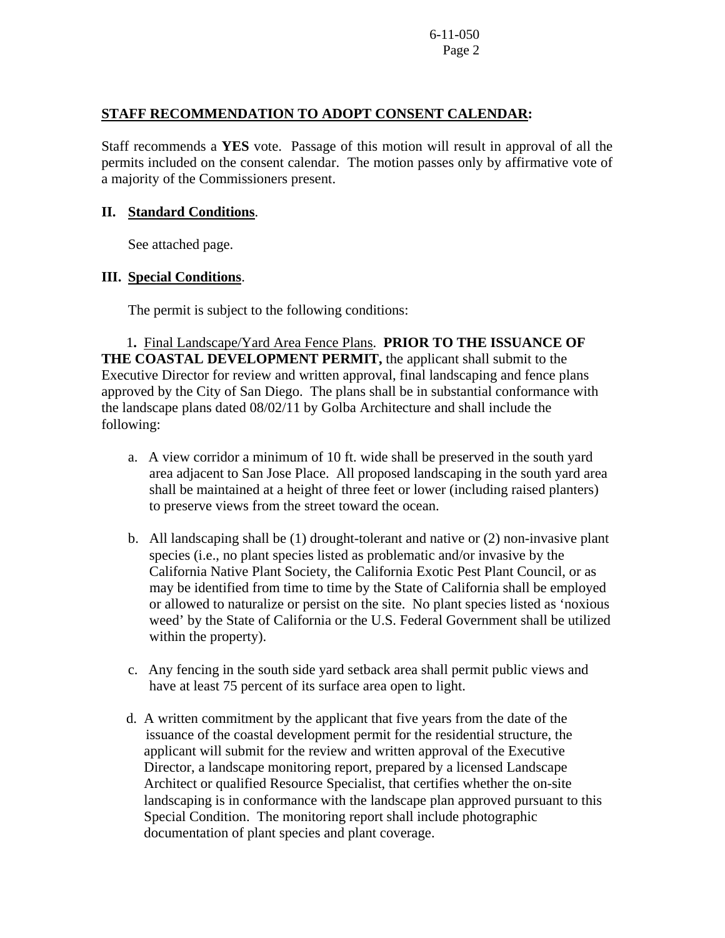## **STAFF RECOMMENDATION TO ADOPT CONSENT CALENDAR:**

Staff recommends a **YES** vote. Passage of this motion will result in approval of all the permits included on the consent calendar. The motion passes only by affirmative vote of a majority of the Commissioners present.

### **II. Standard Conditions**.

See attached page.

## **III. Special Conditions**.

The permit is subject to the following conditions:

1**.** Final Landscape/Yard Area Fence Plans. **PRIOR TO THE ISSUANCE OF THE COASTAL DEVELOPMENT PERMIT,** the applicant shall submit to the Executive Director for review and written approval, final landscaping and fence plans approved by the City of San Diego. The plans shall be in substantial conformance with the landscape plans dated 08/02/11 by Golba Architecture and shall include the following:

- a. A view corridor a minimum of 10 ft. wide shall be preserved in the south yard area adjacent to San Jose Place. All proposed landscaping in the south yard area shall be maintained at a height of three feet or lower (including raised planters) to preserve views from the street toward the ocean.
- b. All landscaping shall be (1) drought-tolerant and native or (2) non-invasive plant species (i.e., no plant species listed as problematic and/or invasive by the California Native Plant Society, the California Exotic Pest Plant Council, or as may be identified from time to time by the State of California shall be employed or allowed to naturalize or persist on the site. No plant species listed as 'noxious weed' by the State of California or the U.S. Federal Government shall be utilized within the property).
- c. Any fencing in the south side yard setback area shall permit public views and have at least 75 percent of its surface area open to light.
- d. A written commitment by the applicant that five years from the date of the issuance of the coastal development permit for the residential structure, the applicant will submit for the review and written approval of the Executive Director, a landscape monitoring report, prepared by a licensed Landscape Architect or qualified Resource Specialist, that certifies whether the on-site landscaping is in conformance with the landscape plan approved pursuant to this Special Condition. The monitoring report shall include photographic documentation of plant species and plant coverage.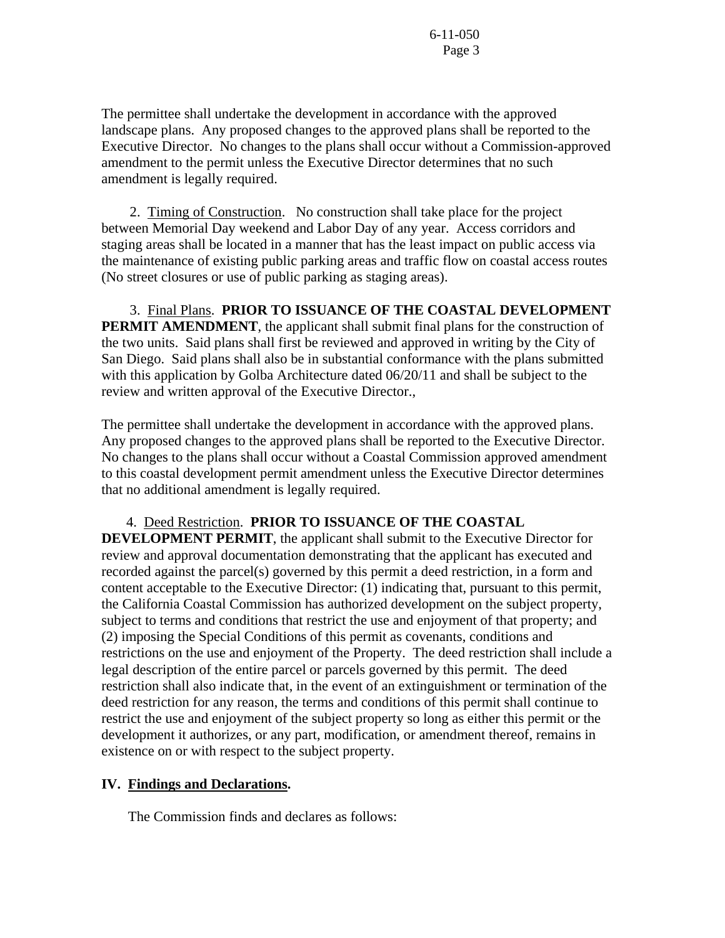The permittee shall undertake the development in accordance with the approved landscape plans. Any proposed changes to the approved plans shall be reported to the Executive Director. No changes to the plans shall occur without a Commission-approved amendment to the permit unless the Executive Director determines that no such amendment is legally required.

 2. Timing of Construction.No construction shall take place for the project between Memorial Day weekend and Labor Day of any year. Access corridors and staging areas shall be located in a manner that has the least impact on public access via the maintenance of existing public parking areas and traffic flow on coastal access routes (No street closures or use of public parking as staging areas).

 3. Final Plans. **PRIOR TO ISSUANCE OF THE COASTAL DEVELOPMENT PERMIT AMENDMENT**, the applicant shall submit final plans for the construction of the two units. Said plans shall first be reviewed and approved in writing by the City of San Diego. Said plans shall also be in substantial conformance with the plans submitted with this application by Golba Architecture dated 06/20/11 and shall be subject to the review and written approval of the Executive Director.,

The permittee shall undertake the development in accordance with the approved plans. Any proposed changes to the approved plans shall be reported to the Executive Director. No changes to the plans shall occur without a Coastal Commission approved amendment to this coastal development permit amendment unless the Executive Director determines that no additional amendment is legally required.

4. Deed Restriction. **PRIOR TO ISSUANCE OF THE COASTAL** 

**DEVELOPMENT PERMIT**, the applicant shall submit to the Executive Director for review and approval documentation demonstrating that the applicant has executed and recorded against the parcel(s) governed by this permit a deed restriction, in a form and content acceptable to the Executive Director: (1) indicating that, pursuant to this permit, the California Coastal Commission has authorized development on the subject property, subject to terms and conditions that restrict the use and enjoyment of that property; and (2) imposing the Special Conditions of this permit as covenants, conditions and restrictions on the use and enjoyment of the Property. The deed restriction shall include a legal description of the entire parcel or parcels governed by this permit. The deed restriction shall also indicate that, in the event of an extinguishment or termination of the deed restriction for any reason, the terms and conditions of this permit shall continue to restrict the use and enjoyment of the subject property so long as either this permit or the development it authorizes, or any part, modification, or amendment thereof, remains in existence on or with respect to the subject property.

### **IV. Findings and Declarations.**

The Commission finds and declares as follows: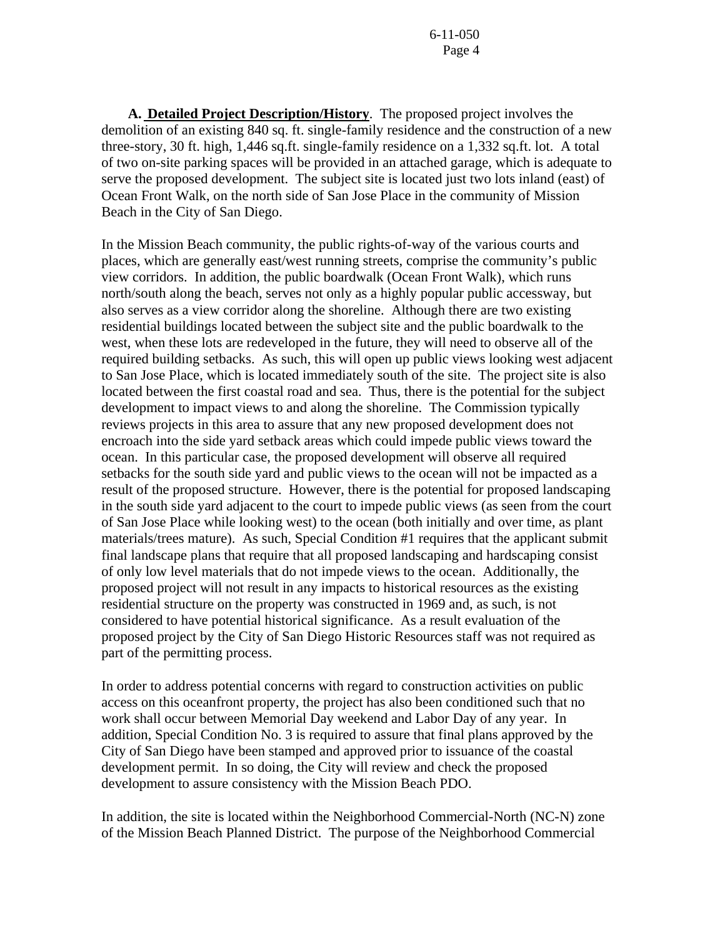**A. Detailed Project Description/History**. The proposed project involves the demolition of an existing 840 sq. ft. single-family residence and the construction of a new three-story, 30 ft. high, 1,446 sq.ft. single-family residence on a 1,332 sq.ft. lot. A total of two on-site parking spaces will be provided in an attached garage, which is adequate to serve the proposed development. The subject site is located just two lots inland (east) of Ocean Front Walk, on the north side of San Jose Place in the community of Mission Beach in the City of San Diego.

In the Mission Beach community, the public rights-of-way of the various courts and places, which are generally east/west running streets, comprise the community's public view corridors. In addition, the public boardwalk (Ocean Front Walk), which runs north/south along the beach, serves not only as a highly popular public accessway, but also serves as a view corridor along the shoreline. Although there are two existing residential buildings located between the subject site and the public boardwalk to the west, when these lots are redeveloped in the future, they will need to observe all of the required building setbacks. As such, this will open up public views looking west adjacent to San Jose Place, which is located immediately south of the site. The project site is also located between the first coastal road and sea. Thus, there is the potential for the subject development to impact views to and along the shoreline. The Commission typically reviews projects in this area to assure that any new proposed development does not encroach into the side yard setback areas which could impede public views toward the ocean. In this particular case, the proposed development will observe all required setbacks for the south side yard and public views to the ocean will not be impacted as a result of the proposed structure. However, there is the potential for proposed landscaping in the south side yard adjacent to the court to impede public views (as seen from the court of San Jose Place while looking west) to the ocean (both initially and over time, as plant materials/trees mature). As such, Special Condition #1 requires that the applicant submit final landscape plans that require that all proposed landscaping and hardscaping consist of only low level materials that do not impede views to the ocean. Additionally, the proposed project will not result in any impacts to historical resources as the existing residential structure on the property was constructed in 1969 and, as such, is not considered to have potential historical significance. As a result evaluation of the proposed project by the City of San Diego Historic Resources staff was not required as part of the permitting process.

In order to address potential concerns with regard to construction activities on public access on this oceanfront property, the project has also been conditioned such that no work shall occur between Memorial Day weekend and Labor Day of any year. In addition, Special Condition No. 3 is required to assure that final plans approved by the City of San Diego have been stamped and approved prior to issuance of the coastal development permit. In so doing, the City will review and check the proposed development to assure consistency with the Mission Beach PDO.

In addition, the site is located within the Neighborhood Commercial-North (NC-N) zone of the Mission Beach Planned District. The purpose of the Neighborhood Commercial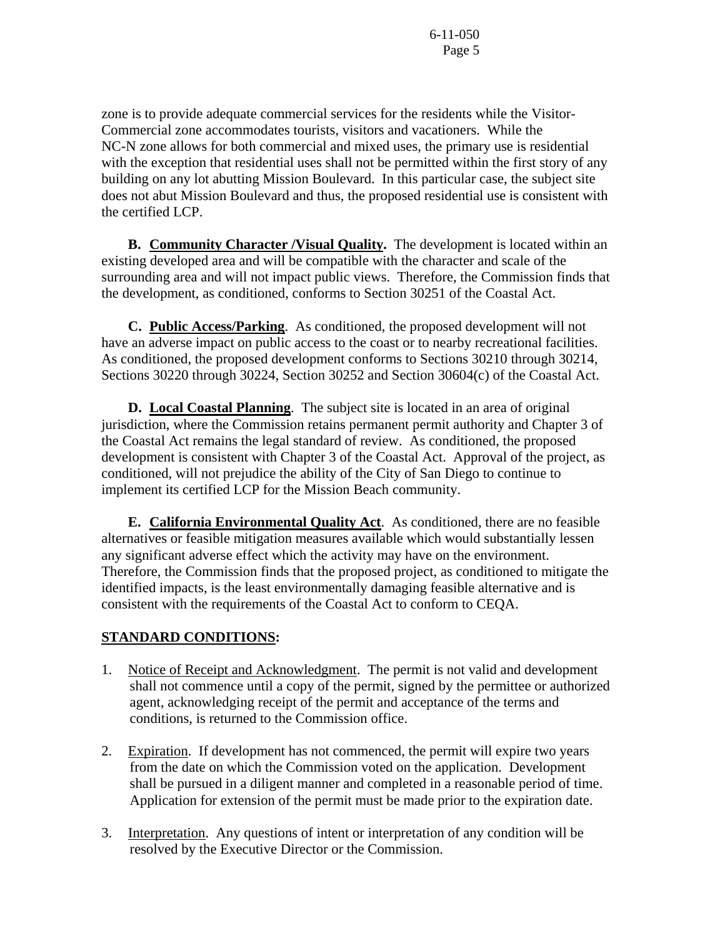zone is to provide adequate commercial services for the residents while the Visitor-Commercial zone accommodates tourists, visitors and vacationers. While the NC-N zone allows for both commercial and mixed uses, the primary use is residential with the exception that residential uses shall not be permitted within the first story of any building on any lot abutting Mission Boulevard. In this particular case, the subject site does not abut Mission Boulevard and thus, the proposed residential use is consistent with the certified LCP.

**B.** Community Character / Visual Quality. The development is located within an existing developed area and will be compatible with the character and scale of the surrounding area and will not impact public views. Therefore, the Commission finds that the development, as conditioned, conforms to Section 30251 of the Coastal Act.

**C. Public Access/Parking**. As conditioned, the proposed development will not have an adverse impact on public access to the coast or to nearby recreational facilities. As conditioned, the proposed development conforms to Sections 30210 through 30214, Sections 30220 through 30224, Section 30252 and Section 30604(c) of the Coastal Act.

**D. Local Coastal Planning**. The subject site is located in an area of original jurisdiction, where the Commission retains permanent permit authority and Chapter 3 of the Coastal Act remains the legal standard of review. As conditioned, the proposed development is consistent with Chapter 3 of the Coastal Act. Approval of the project, as conditioned, will not prejudice the ability of the City of San Diego to continue to implement its certified LCP for the Mission Beach community.

 **E. California Environmental Quality Act**. As conditioned, there are no feasible alternatives or feasible mitigation measures available which would substantially lessen any significant adverse effect which the activity may have on the environment. Therefore, the Commission finds that the proposed project, as conditioned to mitigate the identified impacts, is the least environmentally damaging feasible alternative and is consistent with the requirements of the Coastal Act to conform to CEQA.

## **STANDARD CONDITIONS:**

- 1. Notice of Receipt and Acknowledgment. The permit is not valid and development shall not commence until a copy of the permit, signed by the permittee or authorized agent, acknowledging receipt of the permit and acceptance of the terms and conditions, is returned to the Commission office.
- 2. Expiration. If development has not commenced, the permit will expire two years from the date on which the Commission voted on the application. Development shall be pursued in a diligent manner and completed in a reasonable period of time. Application for extension of the permit must be made prior to the expiration date.
- 3. Interpretation. Any questions of intent or interpretation of any condition will be resolved by the Executive Director or the Commission.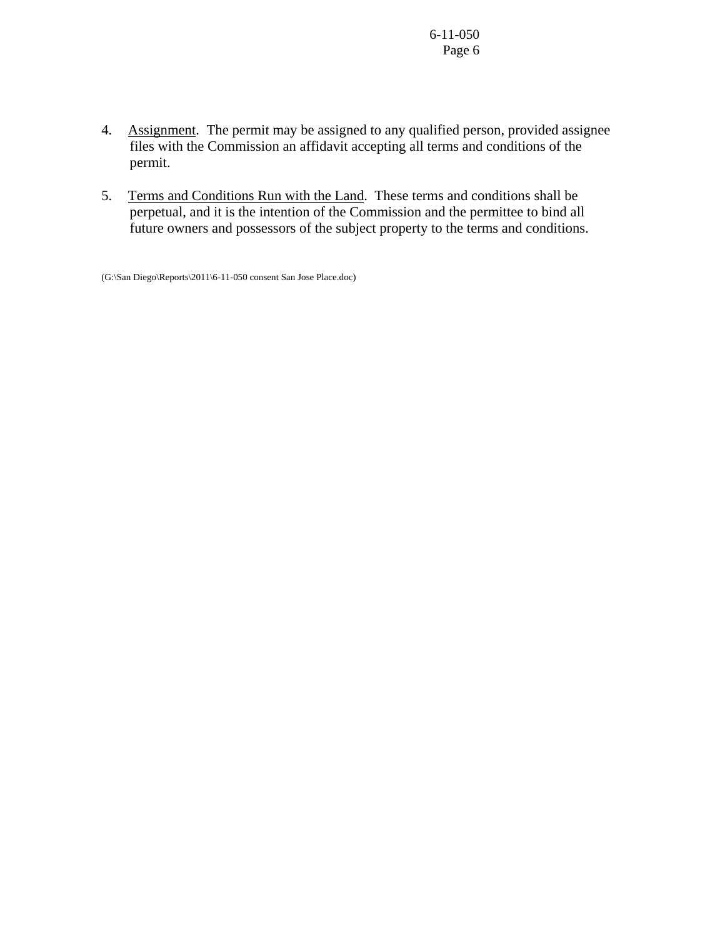- 4. Assignment. The permit may be assigned to any qualified person, provided assignee files with the Commission an affidavit accepting all terms and conditions of the permit.
- 5. Terms and Conditions Run with the Land. These terms and conditions shall be perpetual, and it is the intention of the Commission and the permittee to bind all future owners and possessors of the subject property to the terms and conditions.

(G:\San Diego\Reports\2011\6-11-050 consent San Jose Place.doc)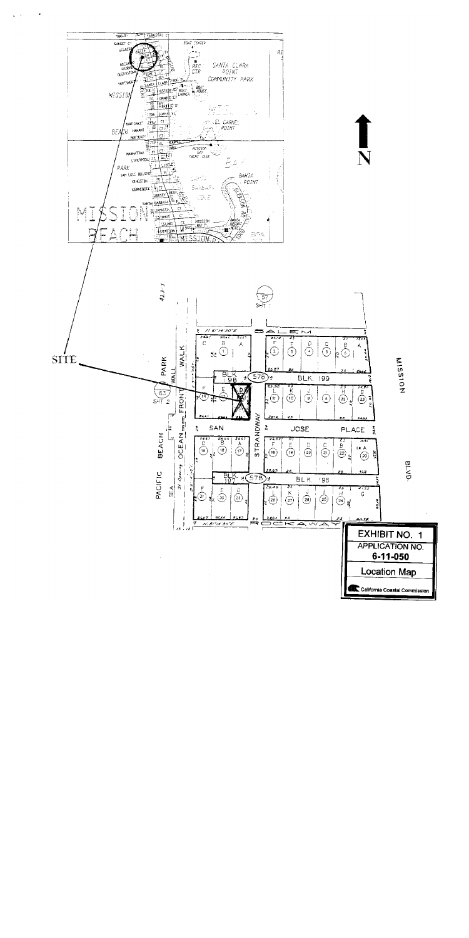